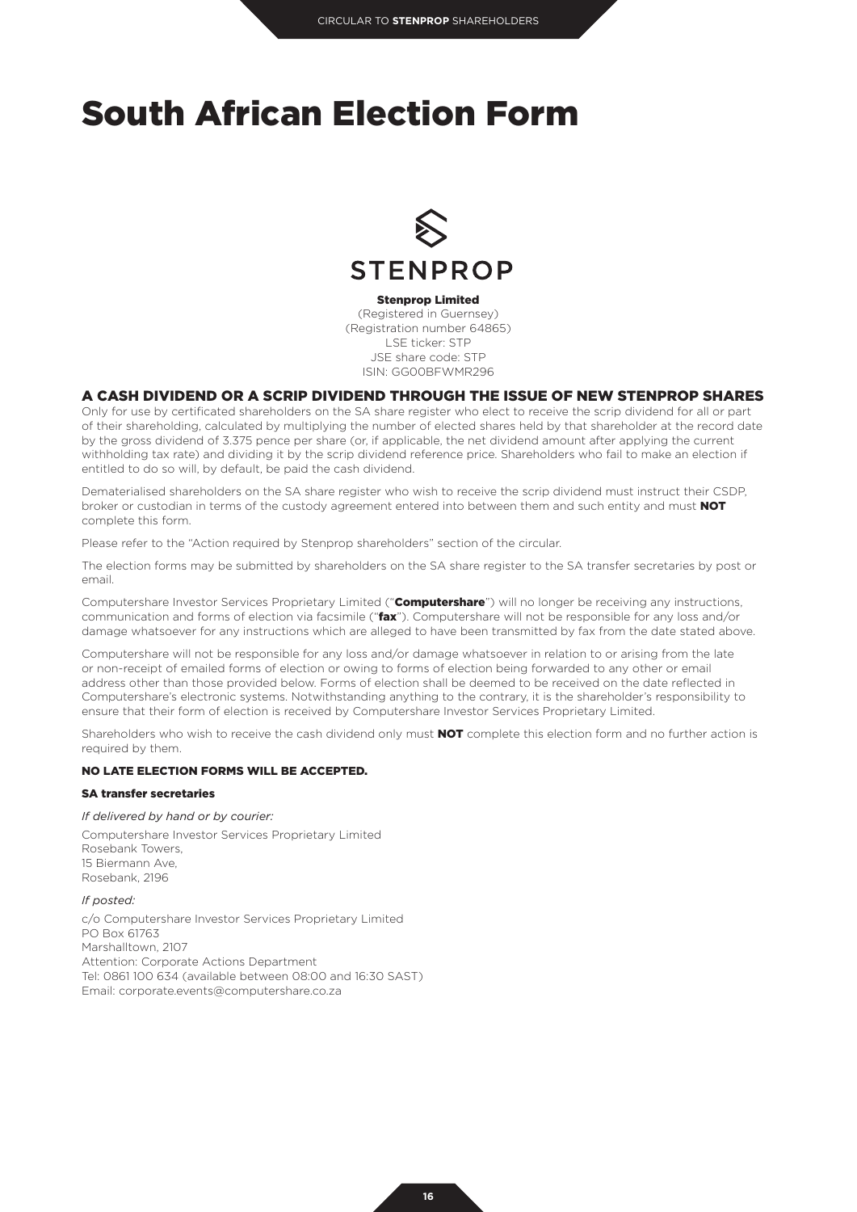# South African Election Form



Stenprop Limited

(Registered in Guernsey) (Registration number 64865) LSE ticker: STP JSE share code: STP ISIN: GG00BFWMR296

# A CASH DIVIDEND OR A SCRIP DIVIDEND THROUGH THE ISSUE OF NEW STENPROP SHARES

Only for use by certificated shareholders on the SA share register who elect to receive the scrip dividend for all or part of their shareholding, calculated by multiplying the number of elected shares held by that shareholder at the record date by the gross dividend of 3.375 pence per share (or, if applicable, the net dividend amount after applying the current withholding tax rate) and dividing it by the scrip dividend reference price. Shareholders who fail to make an election if entitled to do so will, by default, be paid the cash dividend.

Dematerialised shareholders on the SA share register who wish to receive the scrip dividend must instruct their CSDP, broker or custodian in terms of the custody agreement entered into between them and such entity and must NOT complete this form.

Please refer to the "Action required by Stenprop shareholders" section of the circular.

The election forms may be submitted by shareholders on the SA share register to the SA transfer secretaries by post or email.

Computershare Investor Services Proprietary Limited ("Computershare") will no longer be receiving any instructions, communication and forms of election via facsimile ("**fax**"). Computershare will not be responsible for any loss and/or damage whatsoever for any instructions which are alleged to have been transmitted by fax from the date stated above.

Computershare will not be responsible for any loss and/or damage whatsoever in relation to or arising from the late or non-receipt of emailed forms of election or owing to forms of election being forwarded to any other or email address other than those provided below. Forms of election shall be deemed to be received on the date reflected in Computershare's electronic systems. Notwithstanding anything to the contrary, it is the shareholder's responsibility to ensure that their form of election is received by Computershare Investor Services Proprietary Limited.

Shareholders who wish to receive the cash dividend only must NOT complete this election form and no further action is required by them.

### NO LATE ELECTION FORMS WILL BE ACCEPTED.

#### SA transfer secretaries

#### *If delivered by hand or by courier:*

Computershare Investor Services Proprietary Limited Rosebank Towers, 15 Biermann Ave, Rosebank, 2196

#### *If posted:*

c/o Computershare Investor Services Proprietary Limited PO Box 61763 Marshalltown, 2107 Attention: Corporate Actions Department Tel: 0861 100 634 (available between 08:00 and 16:30 SAST) Email: corporate.events@computershare.co.za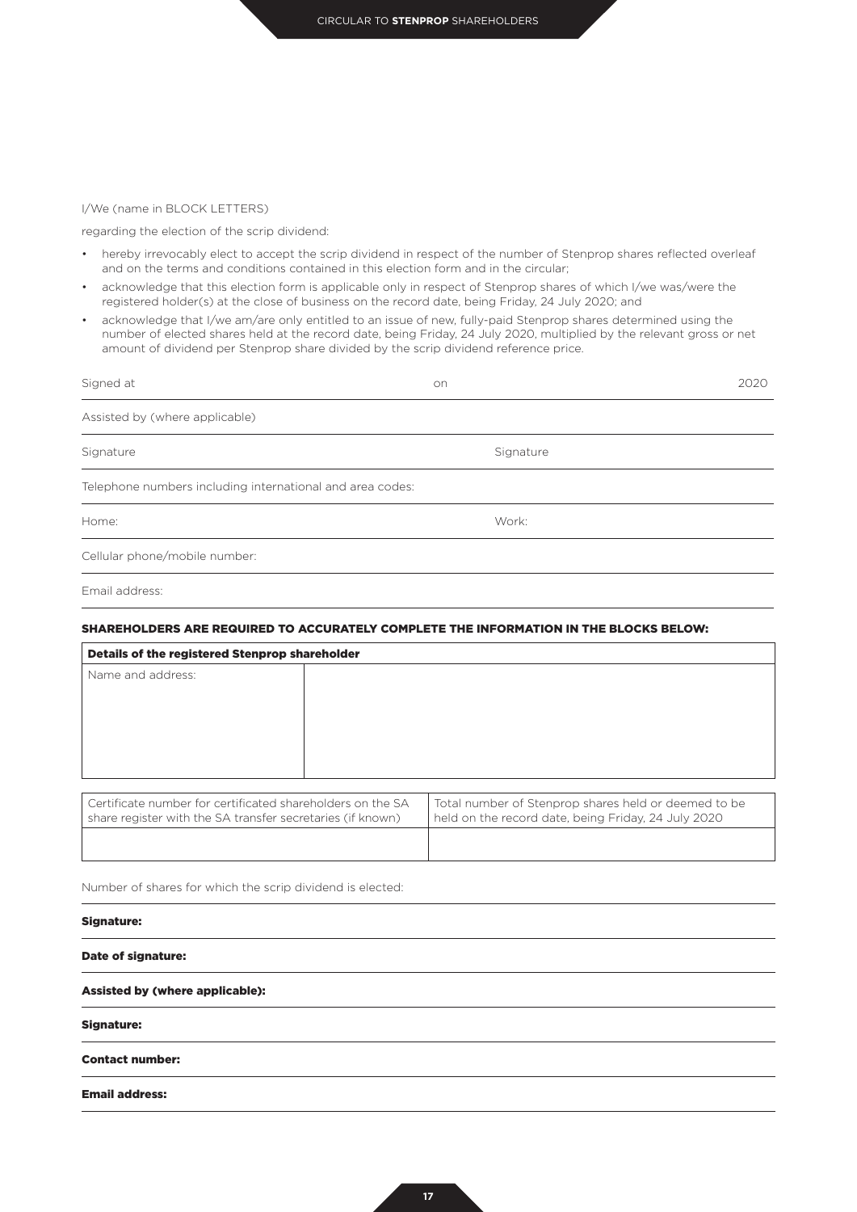#### I/We (name in BLOCK LETTERS)

regarding the election of the scrip dividend:

- hereby irrevocably elect to accept the scrip dividend in respect of the number of Stenprop shares reflected overleaf and on the terms and conditions contained in this election form and in the circular;
- acknowledge that this election form is applicable only in respect of Stenprop shares of which I/we was/were the registered holder(s) at the close of business on the record date, being Friday, 24 July 2020; and
- acknowledge that I/we am/are only entitled to an issue of new, fully-paid Stenprop shares determined using the number of elected shares held at the record date, being Friday, 24 July 2020, multiplied by the relevant gross or net amount of dividend per Stenprop share divided by the scrip dividend reference price.

| Signed at                                                 | on        | 2020 |
|-----------------------------------------------------------|-----------|------|
| Assisted by (where applicable)                            |           |      |
| Signature                                                 | Signature |      |
| Telephone numbers including international and area codes: |           |      |
| Home:                                                     | Work:     |      |
| Cellular phone/mobile number:                             |           |      |
| Email address:                                            |           |      |

# SHAREHOLDERS ARE REQUIRED TO ACCURATELY COMPLETE THE INFORMATION IN THE BLOCKS BELOW:

| Details of the registered Stenprop shareholder                                                                           |                                                                                                             |  |
|--------------------------------------------------------------------------------------------------------------------------|-------------------------------------------------------------------------------------------------------------|--|
| Name and address:                                                                                                        |                                                                                                             |  |
|                                                                                                                          |                                                                                                             |  |
| Certificate number for certificated shareholders on the SA<br>share register with the SA transfer secretaries (if known) | Total number of Stenprop shares held or deemed to be<br>held on the record date, being Friday, 24 July 2020 |  |

Number of shares for which the scrip dividend is elected:

## Signature:

Date of signature:

### Assisted by (where applicable):

Signature:

#### Contact number:

Email address: